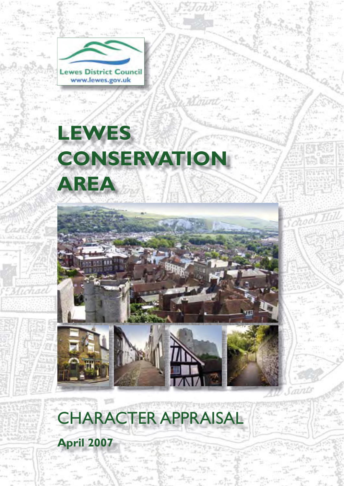

# **LEWES CONSERVATION AREA**





CHARACTER APPRAISAL

mnis

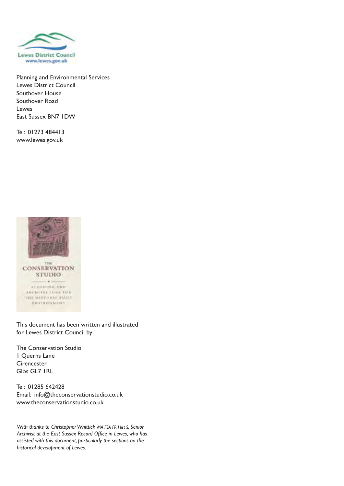

Planning and Environmental Services Lewes District Council Southover House Southover Road Lewes East Sussex BN7 1DW

Tel: 01273 484413 www.lewes.gov.uk



This document has been written and illustrated for Lewes District Council by

The Conservation Studio 1 Querns Lane **Cirencester** Glos GL7 1RL

Tel: 01285 642428 Email: info@theconservationstudio.co.uk www.theconservationstudio.co.uk

*With thanks to Christopher Whittick MA FSA FR Hist S, Senior Archivist at the East Sussex Record Office in Lewes, who has assisted with this document, particularly the sections on the historical development of Lewes.*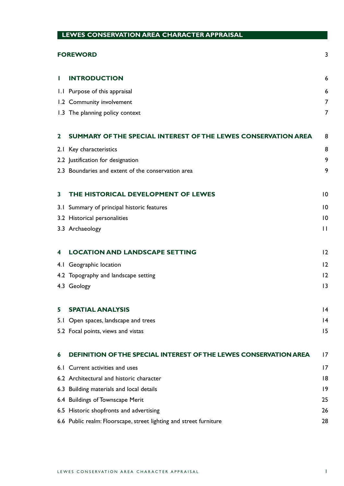| LEWES CONSERVATION AREA CHARACTER APPRAISAL |                                                                    |                 |  |
|---------------------------------------------|--------------------------------------------------------------------|-----------------|--|
| 3<br><b>FOREWORD</b>                        |                                                                    |                 |  |
| Ш                                           | <b>INTRODUCTION</b>                                                | 6               |  |
|                                             | 1.1 Purpose of this appraisal                                      | 6               |  |
|                                             | 1.2 Community involvement                                          | $\overline{7}$  |  |
|                                             | 1.3 The planning policy context                                    | 7               |  |
| $\mathbf{2}$                                | SUMMARY OF THE SPECIAL INTEREST OF THE LEWES CONSERVATION AREA     | 8               |  |
|                                             | 2.1 Key characteristics                                            | 8               |  |
|                                             | 2.2 Justification for designation                                  | 9               |  |
|                                             | 2.3 Boundaries and extent of the conservation area                 | 9               |  |
| 3                                           | THE HISTORICAL DEVELOPMENT OF LEWES                                | $\overline{10}$ |  |
|                                             | 3.1 Summary of principal historic features                         | $\overline{10}$ |  |
|                                             | 3.2 Historical personalities                                       | $\overline{10}$ |  |
|                                             | 3.3 Archaeology                                                    | $\mathsf{L}$    |  |
| 4                                           | <b>LOCATION AND LANDSCAPE SETTING</b>                              | 12              |  |
|                                             | 4.1 Geographic location                                            | 12              |  |
|                                             | 4.2 Topography and landscape setting                               | 12              |  |
|                                             | 4.3 Geology                                                        | 3               |  |
| 5                                           | <b>SPATIAL ANALYSIS</b>                                            | $\overline{14}$ |  |
| 5.1                                         | Open spaces, landscape and trees                                   | 14              |  |
|                                             | 5.2 Focal points, views and vistas                                 | 15              |  |
| 6                                           | DEFINITION OF THE SPECIAL INTEREST OF THE LEWES CONSERVATION AREA  | 17              |  |
| 6. I                                        | Current activities and uses                                        | 17              |  |
|                                             | 6.2 Architectural and historic character                           | 18              |  |
|                                             | 6.3 Building materials and local details                           | 9               |  |
|                                             | 6.4 Buildings of Townscape Merit                                   | 25              |  |
|                                             | 6.5 Historic shopfronts and advertising                            | 26              |  |
|                                             | 6.6 Public realm: Floorscape, street lighting and street furniture | 28              |  |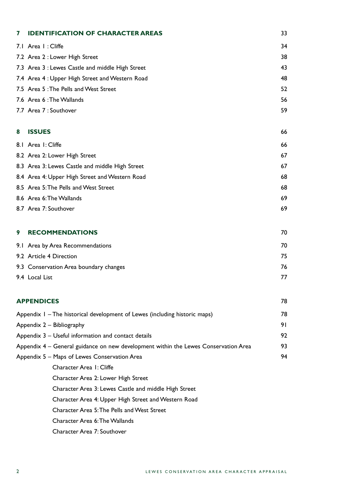| 7 | <b>IDENTIFICATION OF CHARACTER AREAS</b>                                            | 33 |
|---|-------------------------------------------------------------------------------------|----|
|   | 7.1 Area I : Cliffe                                                                 | 34 |
|   | 7.2 Area 2 : Lower High Street                                                      | 38 |
|   | 7.3 Area 3 : Lewes Castle and middle High Street                                    | 43 |
|   | 7.4 Area 4: Upper High Street and Western Road                                      | 48 |
|   | 7.5 Area 5: The Pells and West Street                                               | 52 |
|   | 7.6 Area 6: The Wallands                                                            | 56 |
|   | 7.7 Area 7 : Southover                                                              | 59 |
| 8 | <b>ISSUES</b>                                                                       | 66 |
|   | 8.1 Area I: Cliffe                                                                  | 66 |
|   | 8.2 Area 2: Lower High Street                                                       | 67 |
|   | 8.3 Area 3: Lewes Castle and middle High Street                                     | 67 |
|   | 8.4 Area 4: Upper High Street and Western Road                                      | 68 |
|   | 8.5 Area 5: The Pells and West Street                                               | 68 |
|   | 8.6 Area 6: The Wallands                                                            | 69 |
|   | 8.7 Area 7: Southover                                                               | 69 |
| 9 | <b>RECOMMENDATIONS</b>                                                              | 70 |
|   | 9.1 Area by Area Recommendations                                                    | 70 |
|   | 9.2 Article 4 Direction                                                             | 75 |
|   | 9.3 Conservation Area boundary changes                                              | 76 |
|   | 9.4 Local List                                                                      | 77 |
|   | <b>APPENDICES</b>                                                                   | 78 |
|   | Appendix I - The historical development of Lewes (including historic maps)          |    |
|   | Appendix 2 - Bibliography                                                           |    |
|   | Appendix 3 - Useful information and contact details                                 | 92 |
|   | Appendix 4 - General guidance on new development within the Lewes Conservation Area | 93 |
|   | Appendix 5 - Maps of Lewes Conservation Area                                        | 94 |
|   | Character Area 1: Cliffe                                                            |    |
|   | Character Area 2: Lower High Street                                                 |    |
|   | Character Area 3: Lewes Castle and middle High Street                               |    |
|   | Character Area 4: Upper High Street and Western Road                                |    |
|   | Character Area 5: The Pells and West Street                                         |    |
|   | Character Area 6: The Wallands                                                      |    |
|   | Character Area 7: Southover                                                         |    |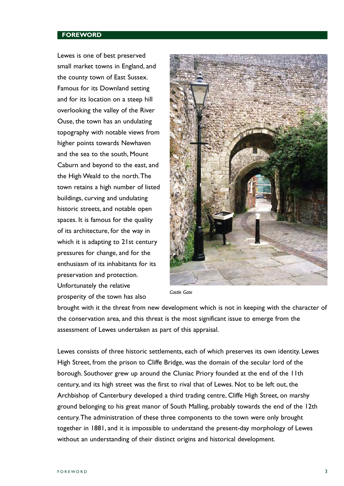#### **FOREWORD**

Lewes is one of best preserved small market towns in England, and the county town of East Sussex. Famous for its Downland setting and for its location on a steep hill overlooking the valley of the River Ouse, the town has an undulating topography with notable views from higher points towards Newhaven and the sea to the south, Mount Caburn and beyond to the east, and the High Weald to the north.The town retains a high number of listed buildings, curving and undulating historic streets, and notable open spaces. It is famous for the quality of its architecture, for the way in which it is adapting to 21st century pressures for change, and for the enthusiasm of its inhabitants for its preservation and protection. Unfortunately the relative prosperity of the town has also



*Castle Gate* 

brought with it the threat from new development which is not in keeping with the character of the conservation area, and this threat is the most significant issue to emerge from the assessment of Lewes undertaken as part of this appraisal.

Lewes consists of three historic settlements, each of which preserves its own identity. Lewes High Street, from the prison to Cliffe Bridge, was the domain of the secular lord of the borough. Southover grew up around the Cluniac Priory founded at the end of the 11th century, and its high street was the first to rival that of Lewes. Not to be left out, the Archbishop of Canterbury developed a third trading centre, Cliffe High Street, on marshy ground belonging to his great manor of South Malling, probably towards the end of the 12th century.The administration of these three components to the town were only brought together in 1881, and it is impossible to understand the present-day morphology of Lewes without an understanding of their distinct origins and historical development.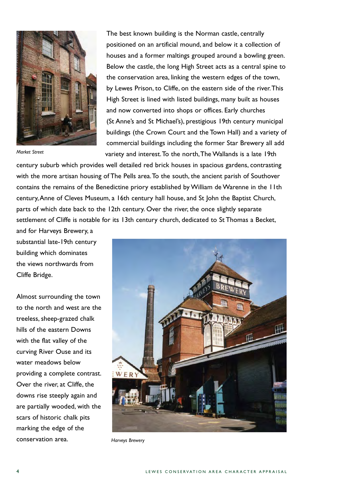

*Market Street* 

The best known building is the Norman castle, centrally positioned on an artificial mound, and below it a collection of houses and a former maltings grouped around a bowling green. Below the castle, the long High Street acts as a central spine to the conservation area, linking the western edges of the town, by Lewes Prison, to Cliffe, on the eastern side of the river.This High Street is lined with listed buildings, many built as houses and now converted into shops or offices. Early churches (St Anne's and St Michael's), prestigious 19th century municipal buildings (the Crown Court and the Town Hall) and a variety of commercial buildings including the former Star Brewery all add variety and interest.To the north,The Wallands is a late 19th

century suburb which provides well detailed red brick houses in spacious gardens, contrasting with the more artisan housing of The Pells area.To the south, the ancient parish of Southover contains the remains of the Benedictine priory established by William de Warenne in the 11th century,Anne of Cleves Museum, a 16th century hall house, and St John the Baptist Church, parts of which date back to the 12th century. Over the river, the once slightly separate settlement of Cliffe is notable for its 13th century church, dedicated to St Thomas a Becket,

and for Harveys Brewery, a substantial late-19th century building which dominates the views northwards from Cliffe Bridge.

Almost surrounding the town to the north and west are the treeless, sheep-grazed chalk hills of the eastern Downs with the flat valley of the curving River Ouse and its water meadows below providing a complete contrast. Over the river, at Cliffe, the downs rise steeply again and are partially wooded, with the scars of historic chalk pits marking the edge of the conservation area. *Harveys Brewery* 

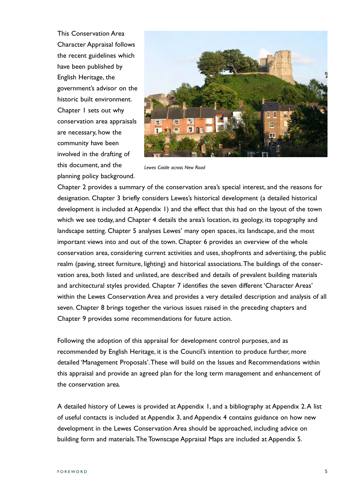This Conservation Area Character Appraisal follows the recent guidelines which have been published by English Heritage, the government's advisor on the historic built environment. Chapter 1 sets out why conservation area appraisals are necessary, how the community have been involved in the drafting of this document, and the planning policy background.



*Lewes Castle across New Road* 

Chapter 2 provides a summary of the conservation area's special interest, and the reasons for designation. Chapter 3 briefly considers Lewes's historical development (a detailed historical development is included at Appendix 1) and the effect that this had on the layout of the town which we see today, and Chapter 4 details the area's location, its geology, its topography and landscape setting. Chapter 5 analyses Lewes' many open spaces, its landscape, and the most important views into and out of the town. Chapter 6 provides an overview of the whole conservation area, considering current activities and uses, shopfronts and advertising, the public realm (paving, street furniture, lighting) and historical associations.The buildings of the conservation area, both listed and unlisted, are described and details of prevalent building materials and architectural styles provided. Chapter 7 identifies the seven different 'Character Areas' within the Lewes Conservation Area and provides a very detailed description and analysis of all seven. Chapter 8 brings together the various issues raised in the preceding chapters and Chapter 9 provides some recommendations for future action.

Following the adoption of this appraisal for development control purposes, and as recommended by English Heritage, it is the Council's intention to produce further, more detailed 'Management Proposals'.These will build on the Issues and Recommendations within this appraisal and provide an agreed plan for the long term management and enhancement of the conservation area.

A detailed history of Lewes is provided at Appendix 1, and a bibliography at Appendix 2.A list of useful contacts is included at Appendix 3, and Appendix 4 contains guidance on how new development in the Lewes Conservation Area should be approached, including advice on building form and materials.The Townscape Appraisal Maps are included at Appendix 5.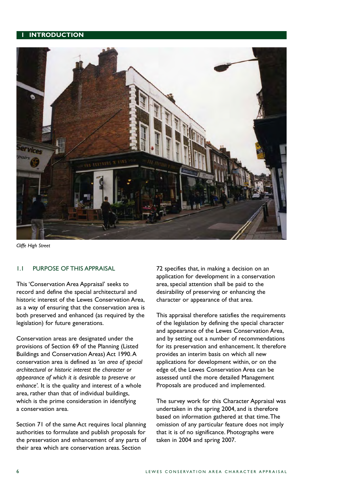#### **INTRODUCTION**



*Cliffe High Street* 

#### 1.1 PURPOSE OF THIS APPRAISAL

This 'Conservation Area Appraisal' seeks to record and define the special architectural and historic interest of the Lewes Conservation Area, as a way of ensuring that the conservation area is both preserved and enhanced (as required by the legislation) for future generations.

Conservation areas are designated under the provisions of Section 69 of the Planning (Listed Buildings and Conservation Areas) Act 1990.A conservation area is defined as *'an area of special architectural or historic interest the character or appearance of which it is desirable to preserve or enhance'.* It is the quality and interest of a whole area, rather than that of individual buildings, which is the prime consideration in identifying a conservation area.

Section 71 of the same Act requires local planning authorities to formulate and publish proposals for the preservation and enhancement of any parts of their area which are conservation areas. Section

72 specifies that, in making a decision on an application for development in a conservation area, special attention shall be paid to the desirability of preserving or enhancing the character or appearance of that area.

This appraisal therefore satisfies the requirements of the legislation by defining the special character and appearance of the Lewes Conservation Area, and by setting out a number of recommendations for its preservation and enhancement. It therefore provides an interim basis on which all new applications for development within, or on the edge of, the Lewes Conservation Area can be assessed until the more detailed Management Proposals are produced and implemented.

The survey work for this Character Appraisal was undertaken in the spring 2004, and is therefore based on information gathered at that time.The omission of any particular feature does not imply that it is of no significance. Photographs were taken in 2004 and spring 2007.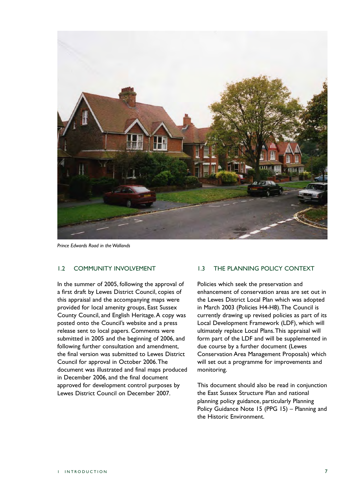

*Prince Edwards Road in the Wallands* 

## 1.2 COMMUNITY INVOLVEMENT

In the summer of 2005, following the approval of a first draft by Lewes District Council, copies of this appraisal and the accompanying maps were provided for local amenity groups, East Sussex County Council, and English Heritage.A copy was posted onto the Council's website and a press release sent to local papers. Comments were submitted in 2005 and the beginning of 2006, and following further consultation and amendment, the final version was submitted to Lewes District Council for approval in October 2006.The document was illustrated and final maps produced in December 2006, and the final document approved for development control purposes by Lewes District Council on December 2007.

### 1.3 THE PLANNING POLICY CONTEXT

Policies which seek the preservation and enhancement of conservation areas are set out in the Lewes District Local Plan which was adopted in March 2003 (Policies H4-H8).The Council is currently drawing up revised policies as part of its Local Development Framework (LDF), which will ultimately replace Local Plans.This appraisal will form part of the LDF and will be supplemented in due course by a further document (Lewes Conservation Area Management Proposals) which will set out a programme for improvements and monitoring.

This document should also be read in conjunction the East Sussex Structure Plan and national planning policy guidance, particularly Planning Policy Guidance Note 15 (PPG 15) – Planning and the Historic Environment.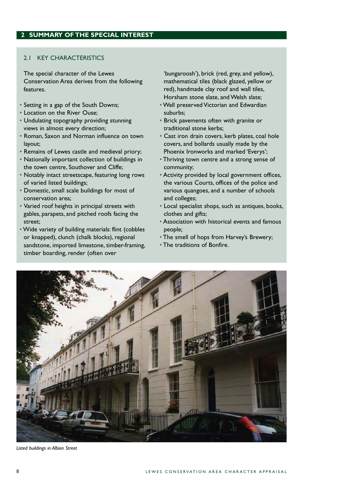#### 2.1 KEY CHARACTERISTICS

The special character of the Lewes Conservation Area derives from the following features.

- Setting in a gap of the South Downs;
- Location on the River Ouse;
- Undulating topography providing stunning views in almost every direction;
- Roman, Saxon and Norman influence on town layout;
- Remains of Lewes castle and medieval priory;
- Nationally important collection of buildings in the town centre, Southover and Cliffe;
- Notably intact streetscape, featuring long rows of varied listed buildings;
- Domestic, small scale buildings for most of conservation area;
- Varied roof heights in principal streets with gables, parapets, and pitched roofs facing the street;
- Wide variety of building materials: flint (cobbles or knapped), clunch (chalk blocks), regional sandstone, imported limestone, timber-framing, timber boarding, render (often over

'bungaroosh'), brick (red, grey, and yellow), mathematical tiles (black glazed, yellow or red), handmade clay roof and wall tiles, Horsham stone slate, and Welsh slate;

- Well preserved Victorian and Edwardian suburbs;
- Brick pavements often with granite or traditional stone kerbs;
- Cast iron drain covers, kerb plates, coal hole covers, and bollards usually made by the Phoenix Ironworks and marked 'Everys';
- Thriving town centre and a strong sense of community;
- Activity provided by local government offices, the various Courts, offices of the police and various quangoes, and a number of schools and colleges;
- Local specialist shops, such as antiques, books, clothes and gifts;
- Association with historical events and famous people;
- The smell of hops from Harvey's Brewery;
- The traditions of Bonfire.



*Listed buildings in Albion Street*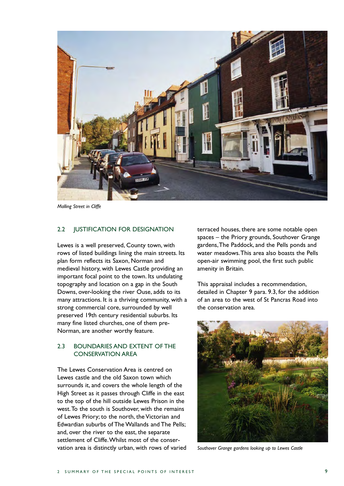

*Malling Street in Cliffe* 

#### 2.2 **JUSTIFICATION FOR DESIGNATION**

Lewes is a well preserved, County town, with rows of listed buildings lining the main streets. Its plan form reflects its Saxon, Norman and medieval history, with Lewes Castle providing an important focal point to the town. Its undulating topography and location on a gap in the South Downs, over-looking the river Ouse, adds to its many attractions. It is a thriving community, with a strong commercial core, surrounded by well preserved 19th century residential suburbs. Its many fine listed churches, one of them pre-Norman, are another worthy feature.

## 2.3 BOUNDARIES AND EXTENT OF THE CONSERVATION AREA

The Lewes Conservation Area is centred on Lewes castle and the old Saxon town which surrounds it, and covers the whole length of the High Street as it passes through Cliffe in the east to the top of the hill outside Lewes Prison in the west.To the south is Southover, with the remains of Lewes Priory; to the north, the Victorian and Edwardian suburbs of The Wallands and The Pells; and, over the river to the east, the separate settlement of Cliffe.Whilst most of the conservation area is distinctly urban, with rows of varied terraced houses, there are some notable open spaces – the Priory grounds, Southover Grange gardens,The Paddock, and the Pells ponds and water meadows.This area also boasts the Pells open-air swimming pool, the first such public amenity in Britain.

This appraisal includes a recommendation, detailed in Chapter 9 para. 9.3, for the addition of an area to the west of St Pancras Road into the conservation area.



*Southover Grange gardens looking up to Lewes Castle*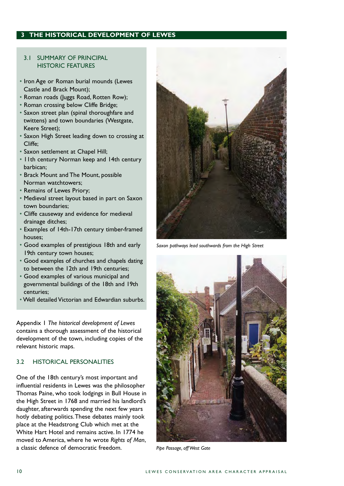# **3 THE HISTORICAL DEVELOPMENT OF LEWES**

### 3.1 SUMMARY OF PRINCIPAL HISTORIC FEATURES

- Iron Age or Roman burial mounds (Lewes Castle and Brack Mount);
- Roman roads (Juggs Road, Rotten Row);
- Roman crossing below Cliffe Bridge;
- Saxon street plan (spinal thoroughfare and twittens) and town boundaries (Westgate, Keere Street);
- Saxon High Street leading down to crossing at Cliffe;
- Saxon settlement at Chapel Hill;
- 11th century Norman keep and 14th century barbican;
- Brack Mount and The Mount, possible Norman watchtowers;
- Remains of Lewes Priory;
- Medieval street layout based in part on Saxon town boundaries;
- Cliffe causeway and evidence for medieval drainage ditches;
- Examples of 14th-17th century timber-framed houses;
- Good examples of prestigious 18th and early 19th century town houses;
- Good examples of churches and chapels dating to between the 12th and 19th centuries;
- Good examples of various municipal and governmental buildings of the 18th and 19th centuries;
- Well detailed Victorian and Edwardian suburbs.

Appendix 1 *The historical development of Lewes*  contains a thorough assessment of the historical development of the town, including copies of the relevant historic maps.

## 3.2 HISTORICAL PERSONALITIES

One of the 18th century's most important and influential residents in Lewes was the philosopher Thomas Paine, who took lodgings in Bull House in the High Street in 1768 and married his landlord's daughter, afterwards spending the next few years hotly debating politics.These debates mainly took place at the Headstrong Club which met at the White Hart Hotel and remains active. In 1774 he moved to America, where he wrote *Rights of Man*, a classic defence of democratic freedom.



*Saxon pathways lead southwards from the High Street* 



*Pipe Passage, off West Gate*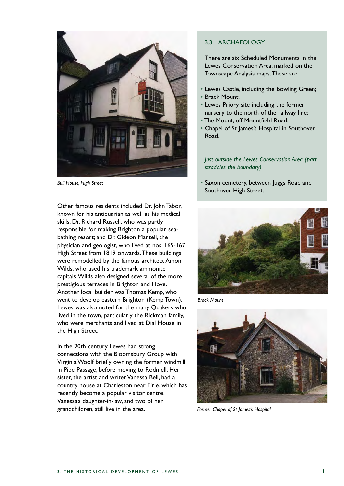

*Bull House, High Street* 

Other famous residents included Dr. John Tabor, known for his antiquarian as well as his medical skills; Dr. Richard Russell, who was partly responsible for making Brighton a popular seabathing resort; and Dr. Gideon Mantell, the physician and geologist, who lived at nos. 165-167 High Street from 1819 onwards.These buildings were remodelled by the famous architect Amon Wilds, who used his trademark ammonite capitals.Wilds also designed several of the more prestigious terraces in Brighton and Hove. Another local builder was Thomas Kemp, who went to develop eastern Brighton (Kemp Town). Lewes was also noted for the many Quakers who lived in the town, particularly the Rickman family, who were merchants and lived at Dial House in the High Street.

In the 20th century Lewes had strong connections with the Bloomsbury Group with Virginia Woolf briefly owning the former windmill in Pipe Passage, before moving to Rodmell. Her sister, the artist and writer Vanessa Bell, had a country house at Charleston near Firle, which has recently become a popular visitor centre. Vanessa's daughter-in-law, and two of her grandchildren, still live in the area.

#### 3.3 ARCHAEOLOGY

There are six Scheduled Monuments in the Lewes Conservation Area, marked on the Townscape Analysis maps.These are:

- Lewes Castle, including the Bowling Green;
- Brack Mount;
- Lewes Priory site including the former nursery to the north of the railway line;
- The Mount, off Mountfield Road;
- Chapel of St James's Hospital in Southover Road.

*Just outside the Lewes Conservation Area (part straddles the boundary)* 

• Saxon cemetery, between Juggs Road and Southover High Street.



*Brack Mount* 



*Former Chapel of St James's Hospital*